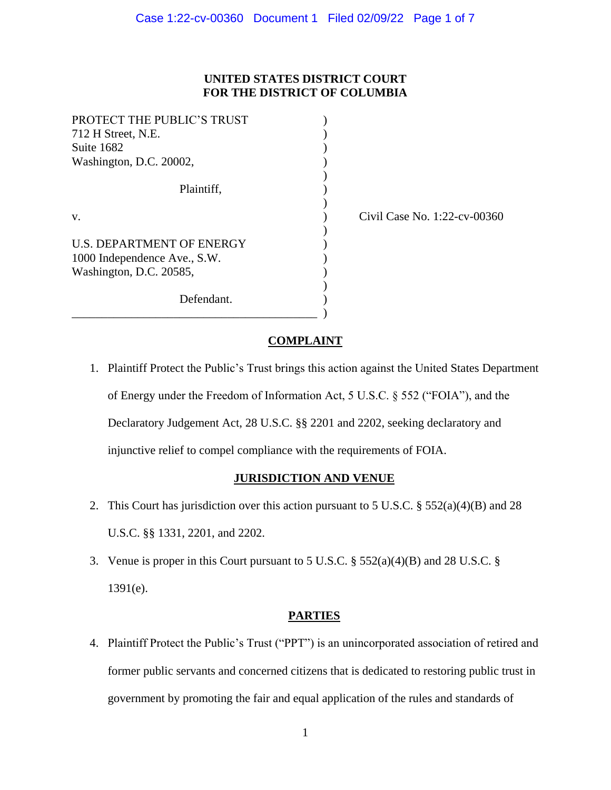# **UNITED STATES DISTRICT COURT FOR THE DISTRICT OF COLUMBIA**

)

)

| PROTECT THE PUBLIC'S TRUST<br>712 H Street, N.E. |  |
|--------------------------------------------------|--|
| Suite 1682                                       |  |
| Washington, D.C. 20002,                          |  |
|                                                  |  |
| Plaintiff.                                       |  |
|                                                  |  |
| V.                                               |  |
|                                                  |  |
| <b>U.S. DEPARTMENT OF ENERGY</b>                 |  |
| 1000 Independence Ave., S.W.                     |  |
| Washington, D.C. 20585,                          |  |
|                                                  |  |
| Defendant.                                       |  |

\_\_\_\_\_\_\_\_\_\_\_\_\_\_\_\_\_\_\_\_\_\_\_\_\_\_\_\_\_\_\_\_\_\_\_\_\_\_\_\_\_ )

(b) Civil Case No. 1:22-cv-00360

## **COMPLAINT**

1. Plaintiff Protect the Public's Trust brings this action against the United States Department of Energy under the Freedom of Information Act, 5 U.S.C. § 552 ("FOIA"), and the Declaratory Judgement Act, 28 U.S.C. §§ 2201 and 2202, seeking declaratory and injunctive relief to compel compliance with the requirements of FOIA.

## **JURISDICTION AND VENUE**

- 2. This Court has jurisdiction over this action pursuant to 5 U.S.C.  $\S 552(a)(4)(B)$  and 28 U.S.C. §§ 1331, 2201, and 2202.
- 3. Venue is proper in this Court pursuant to 5 U.S.C. § 552(a)(4)(B) and 28 U.S.C. § 1391(e).

## **PARTIES**

4. Plaintiff Protect the Public's Trust ("PPT") is an unincorporated association of retired and former public servants and concerned citizens that is dedicated to restoring public trust in government by promoting the fair and equal application of the rules and standards of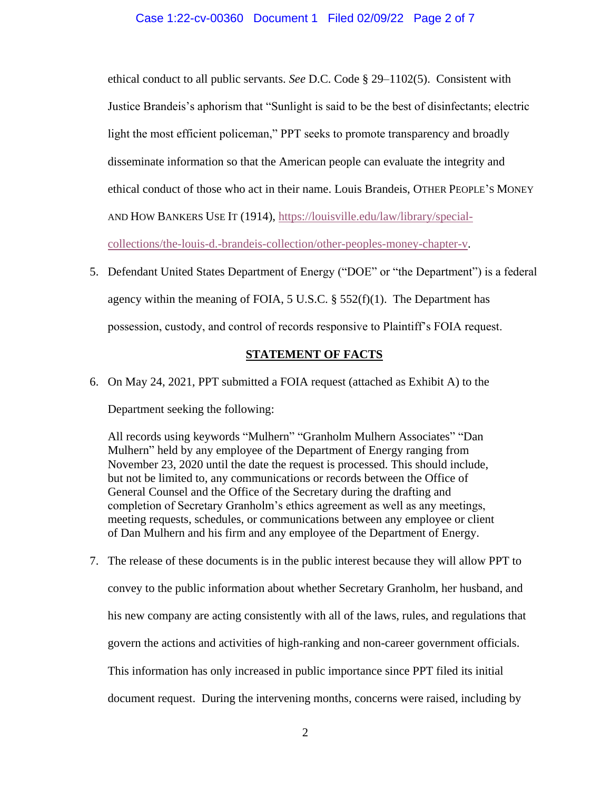ethical conduct to all public servants. *See* D.C. Code § 29–1102(5). Consistent with Justice Brandeis's aphorism that "Sunlight is said to be the best of disinfectants; electric light the most efficient policeman," PPT seeks to promote transparency and broadly disseminate information so that the American people can evaluate the integrity and ethical conduct of those who act in their name. Louis Brandeis, OTHER PEOPLE'S MONEY AND HOW BANKERS USE IT (1914), [https://louisville.edu/law/library/special-](https://louisville.edu/law/library/special-collections/the-louis-d.-brandeis-collection/other-peoples-money-chapter-v)

[collections/the-louis-d.-brandeis-collection/other-peoples-money-chapter-v.](https://louisville.edu/law/library/special-collections/the-louis-d.-brandeis-collection/other-peoples-money-chapter-v)

5. Defendant United States Department of Energy ("DOE" or "the Department") is a federal agency within the meaning of FOIA,  $5 \text{ U.S.C.}$   $\S$   $552(f)(1)$ . The Department has possession, custody, and control of records responsive to Plaintiff's FOIA request.

# **STATEMENT OF FACTS**

6. On May 24, 2021, PPT submitted a FOIA request (attached as Exhibit A) to the

Department seeking the following:

All records using keywords "Mulhern" "Granholm Mulhern Associates" "Dan Mulhern" held by any employee of the Department of Energy ranging from November 23, 2020 until the date the request is processed. This should include, but not be limited to, any communications or records between the Office of General Counsel and the Office of the Secretary during the drafting and completion of Secretary Granholm's ethics agreement as well as any meetings, meeting requests, schedules, or communications between any employee or client of Dan Mulhern and his firm and any employee of the Department of Energy.

7. The release of these documents is in the public interest because they will allow PPT to convey to the public information about whether Secretary Granholm, her husband, and his new company are acting consistently with all of the laws, rules, and regulations that govern the actions and activities of high-ranking and non-career government officials. This information has only increased in public importance since PPT filed its initial document request. During the intervening months, concerns were raised, including by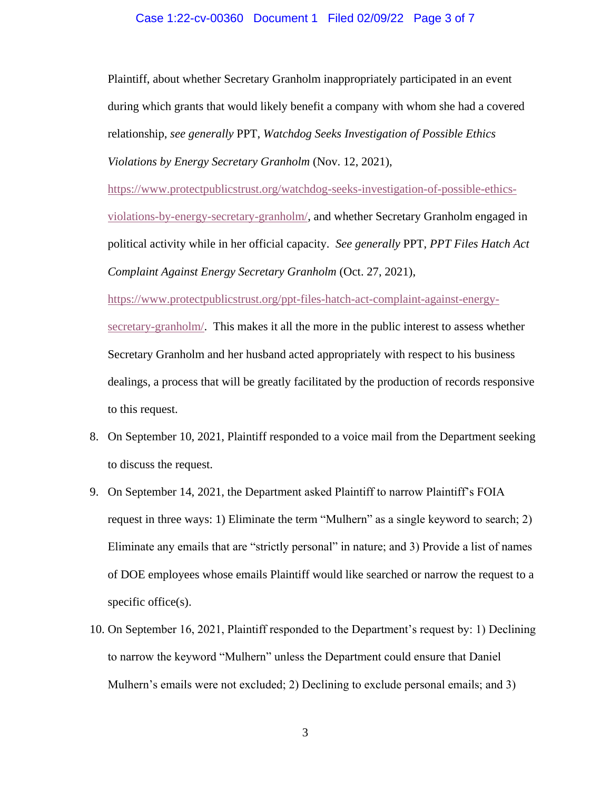### Case 1:22-cv-00360 Document 1 Filed 02/09/22 Page 3 of 7

Plaintiff, about whether Secretary Granholm inappropriately participated in an event during which grants that would likely benefit a company with whom she had a covered relationship, *see generally* PPT, *Watchdog Seeks Investigation of Possible Ethics Violations by Energy Secretary Granholm* (Nov. 12, 2021),

[https://www.protectpublicstrust.org/watchdog-seeks-investigation-of-possible-ethics](https://www.protectpublicstrust.org/watchdog-seeks-investigation-of-possible-ethics-violations-by-energy-secretary-granholm/)[violations-by-energy-secretary-granholm/,](https://www.protectpublicstrust.org/watchdog-seeks-investigation-of-possible-ethics-violations-by-energy-secretary-granholm/) and whether Secretary Granholm engaged in political activity while in her official capacity. *See generally* PPT, *PPT Files Hatch Act Complaint Against Energy Secretary Granholm* (Oct. 27, 2021),

[https://www.protectpublicstrust.org/ppt-files-hatch-act-complaint-against-energy-](https://www.protectpublicstrust.org/ppt-files-hatch-act-complaint-against-energy-secretary-granholm/)

[secretary-granholm/.](https://www.protectpublicstrust.org/ppt-files-hatch-act-complaint-against-energy-secretary-granholm/) This makes it all the more in the public interest to assess whether Secretary Granholm and her husband acted appropriately with respect to his business dealings, a process that will be greatly facilitated by the production of records responsive to this request.

- 8. On September 10, 2021, Plaintiff responded to a voice mail from the Department seeking to discuss the request.
- 9. On September 14, 2021, the Department asked Plaintiff to narrow Plaintiff's FOIA request in three ways: 1) Eliminate the term "Mulhern" as a single keyword to search; 2) Eliminate any emails that are "strictly personal" in nature; and 3) Provide a list of names of DOE employees whose emails Plaintiff would like searched or narrow the request to a specific office(s).
- 10. On September 16, 2021, Plaintiff responded to the Department's request by: 1) Declining to narrow the keyword "Mulhern" unless the Department could ensure that Daniel Mulhern's emails were not excluded; 2) Declining to exclude personal emails; and 3)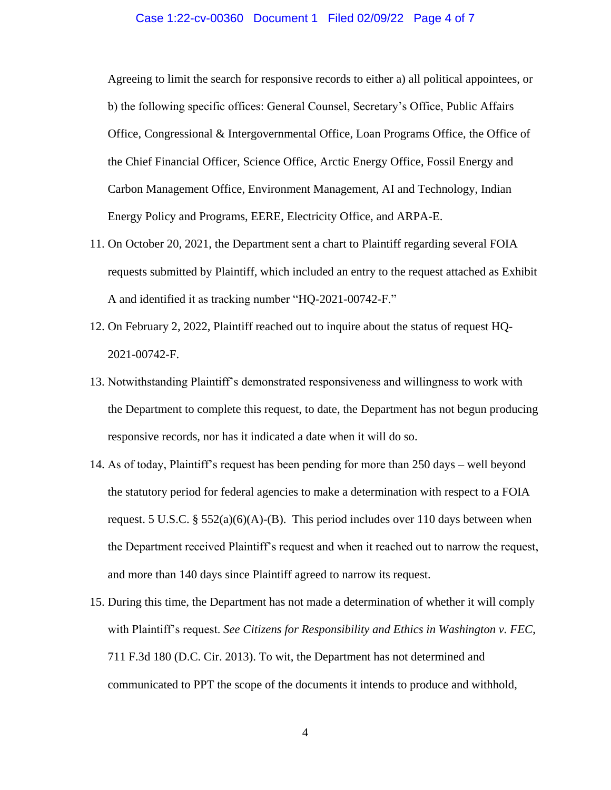#### Case 1:22-cv-00360 Document 1 Filed 02/09/22 Page 4 of 7

Agreeing to limit the search for responsive records to either a) all political appointees, or b) the following specific offices: General Counsel, Secretary's Office, Public Affairs Office, Congressional & Intergovernmental Office, Loan Programs Office, the Office of the Chief Financial Officer, Science Office, Arctic Energy Office, Fossil Energy and Carbon Management Office, Environment Management, AI and Technology, Indian Energy Policy and Programs, EERE, Electricity Office, and ARPA-E.

- 11. On October 20, 2021, the Department sent a chart to Plaintiff regarding several FOIA requests submitted by Plaintiff, which included an entry to the request attached as Exhibit A and identified it as tracking number "HQ-2021-00742-F."
- 12. On February 2, 2022, Plaintiff reached out to inquire about the status of request HQ-2021-00742-F.
- 13. Notwithstanding Plaintiff's demonstrated responsiveness and willingness to work with the Department to complete this request, to date, the Department has not begun producing responsive records, nor has it indicated a date when it will do so.
- 14. As of today, Plaintiff's request has been pending for more than 250 days well beyond the statutory period for federal agencies to make a determination with respect to a FOIA request. 5 U.S.C. §  $552(a)(6)(A)$ -(B). This period includes over 110 days between when the Department received Plaintiff's request and when it reached out to narrow the request, and more than 140 days since Plaintiff agreed to narrow its request.
- 15. During this time, the Department has not made a determination of whether it will comply with Plaintiff's request. *See Citizens for Responsibility and Ethics in Washington v. FEC*, 711 F.3d 180 (D.C. Cir. 2013). To wit, the Department has not determined and communicated to PPT the scope of the documents it intends to produce and withhold,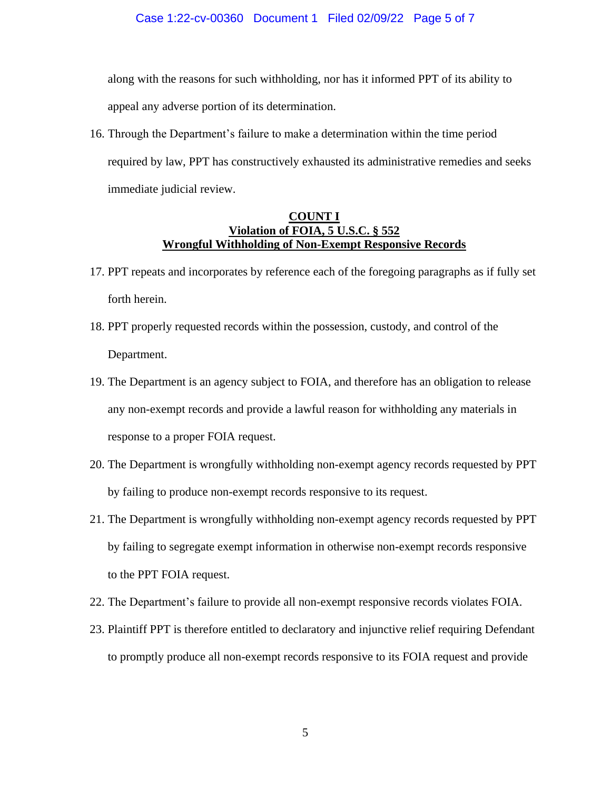along with the reasons for such withholding, nor has it informed PPT of its ability to appeal any adverse portion of its determination.

16. Through the Department's failure to make a determination within the time period required by law, PPT has constructively exhausted its administrative remedies and seeks immediate judicial review.

# **COUNT I Violation of FOIA, 5 U.S.C. § 552 Wrongful Withholding of Non-Exempt Responsive Records**

- 17. PPT repeats and incorporates by reference each of the foregoing paragraphs as if fully set forth herein.
- 18. PPT properly requested records within the possession, custody, and control of the Department.
- 19. The Department is an agency subject to FOIA, and therefore has an obligation to release any non-exempt records and provide a lawful reason for withholding any materials in response to a proper FOIA request.
- 20. The Department is wrongfully withholding non-exempt agency records requested by PPT by failing to produce non-exempt records responsive to its request.
- 21. The Department is wrongfully withholding non-exempt agency records requested by PPT by failing to segregate exempt information in otherwise non-exempt records responsive to the PPT FOIA request.
- 22. The Department's failure to provide all non-exempt responsive records violates FOIA.
- 23. Plaintiff PPT is therefore entitled to declaratory and injunctive relief requiring Defendant to promptly produce all non-exempt records responsive to its FOIA request and provide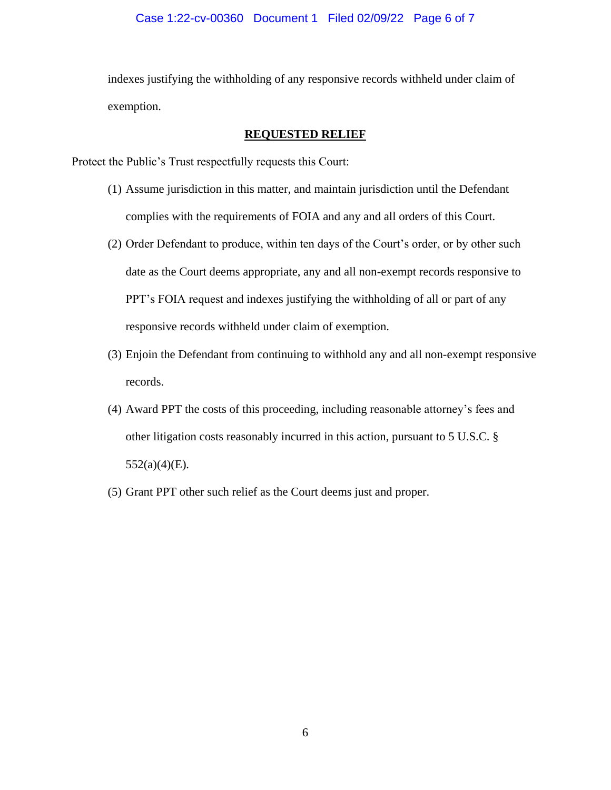indexes justifying the withholding of any responsive records withheld under claim of exemption.

## **REQUESTED RELIEF**

Protect the Public's Trust respectfully requests this Court:

- (1) Assume jurisdiction in this matter, and maintain jurisdiction until the Defendant complies with the requirements of FOIA and any and all orders of this Court.
- (2) Order Defendant to produce, within ten days of the Court's order, or by other such date as the Court deems appropriate, any and all non-exempt records responsive to PPT's FOIA request and indexes justifying the withholding of all or part of any responsive records withheld under claim of exemption.
- (3) Enjoin the Defendant from continuing to withhold any and all non-exempt responsive records.
- (4) Award PPT the costs of this proceeding, including reasonable attorney's fees and other litigation costs reasonably incurred in this action, pursuant to 5 U.S.C. §  $552(a)(4)(E)$ .
- (5) Grant PPT other such relief as the Court deems just and proper.